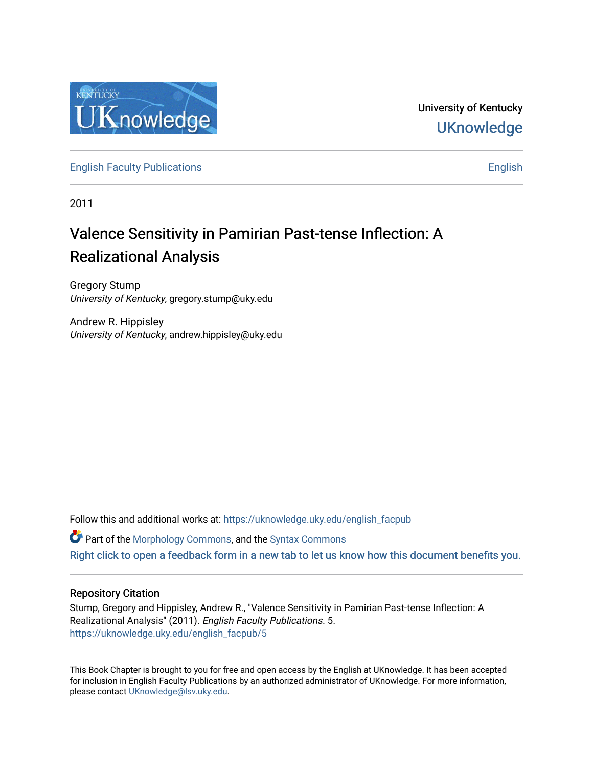

University of Kentucky **UKnowledge** 

[English Faculty Publications](https://uknowledge.uky.edu/english_facpub) **English** English

2011

# Valence Sensitivity in Pamirian Past-tense Inflection: A Realizational Analysis

Gregory Stump University of Kentucky, gregory.stump@uky.edu

Andrew R. Hippisley University of Kentucky, andrew.hippisley@uky.edu

Follow this and additional works at: [https://uknowledge.uky.edu/english\\_facpub](https://uknowledge.uky.edu/english_facpub?utm_source=uknowledge.uky.edu%2Fenglish_facpub%2F5&utm_medium=PDF&utm_campaign=PDFCoverPages) 

 $\bullet$  Part of the [Morphology Commons,](http://network.bepress.com/hgg/discipline/380?utm_source=uknowledge.uky.edu%2Fenglish_facpub%2F5&utm_medium=PDF&utm_campaign=PDFCoverPages) and the [Syntax Commons](http://network.bepress.com/hgg/discipline/384?utm_source=uknowledge.uky.edu%2Fenglish_facpub%2F5&utm_medium=PDF&utm_campaign=PDFCoverPages)

[Right click to open a feedback form in a new tab to let us know how this document benefits you.](https://uky.az1.qualtrics.com/jfe/form/SV_9mq8fx2GnONRfz7)

## Repository Citation

Stump, Gregory and Hippisley, Andrew R., "Valence Sensitivity in Pamirian Past-tense Inflection: A Realizational Analysis" (2011). English Faculty Publications. 5. [https://uknowledge.uky.edu/english\\_facpub/5](https://uknowledge.uky.edu/english_facpub/5?utm_source=uknowledge.uky.edu%2Fenglish_facpub%2F5&utm_medium=PDF&utm_campaign=PDFCoverPages) 

This Book Chapter is brought to you for free and open access by the English at UKnowledge. It has been accepted for inclusion in English Faculty Publications by an authorized administrator of UKnowledge. For more information, please contact [UKnowledge@lsv.uky.edu.](mailto:UKnowledge@lsv.uky.edu)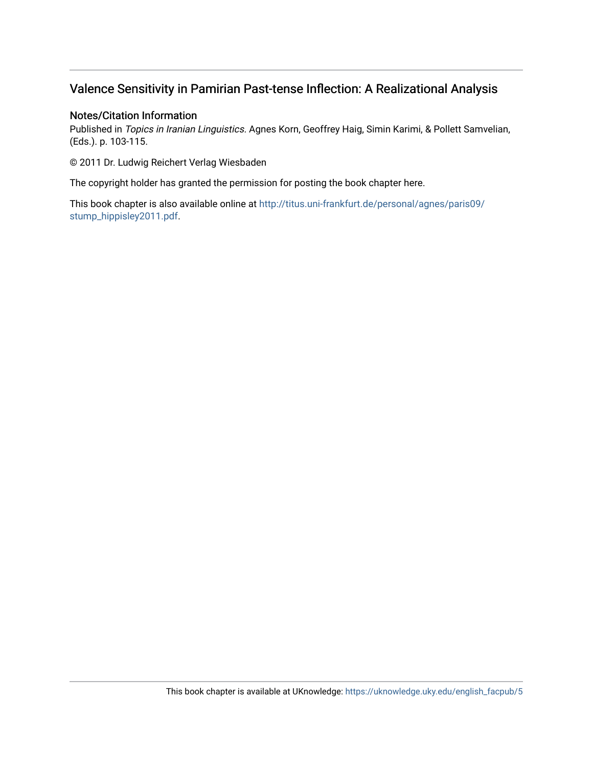# Valence Sensitivity in Pamirian Past-tense Inflection: A Realizational Analysis

## Notes/Citation Information

Published in Topics in Iranian Linguistics. Agnes Korn, Geoffrey Haig, Simin Karimi, & Pollett Samvelian, (Eds.). p. 103-115.

© 2011 Dr. Ludwig Reichert Verlag Wiesbaden

The copyright holder has granted the permission for posting the book chapter here.

This book chapter is also available online at [http://titus.uni-frankfurt.de/personal/agnes/paris09/](http://titus.uni-frankfurt.de/personal/agnes/paris09/stump_hippisley2011.pdf) [stump\\_hippisley2011.pdf.](http://titus.uni-frankfurt.de/personal/agnes/paris09/stump_hippisley2011.pdf)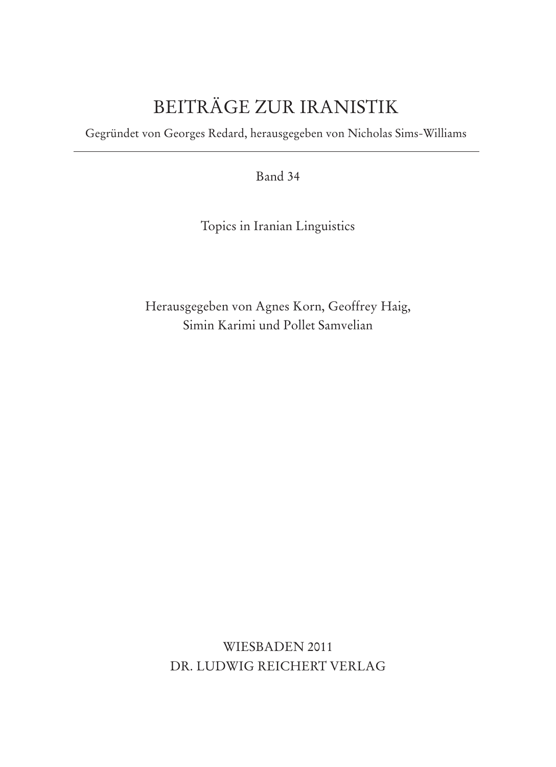# BEITRÄGE ZUR IRANISTIK

Gegründet von Georges Redard, herausgegeben von Nicholas Sims-Williams

Band 34

Topics in Iranian Linguistics

Herausgegeben von Agnes Korn, Geoffrey Haig, Simin Karimi und Pollet Samvelian

WIESBADEN 2011 DR. LUDWIG REICHERT VERLAG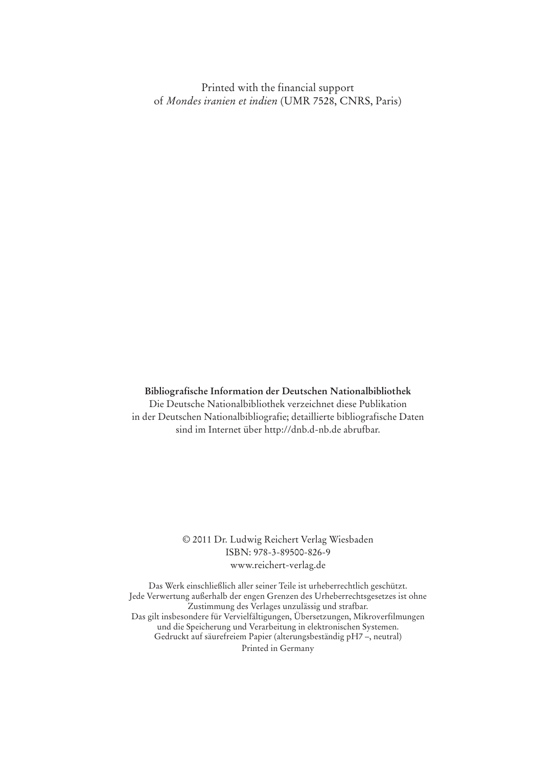Printed with the financial support of *Mondes iranien et indien* (UMR 7528, CNRS, Paris)

#### **Bibliografische Information der Deutschen Nationalbibliothek**

Die Deutsche Nationalbibliothek verzeichnet diese Publikation in der Deutschen Nationalbibliografie; detaillierte bibliografische Daten sind im Internet über http://dnb.d-nb.de abrufbar.

#### © 2011 Dr. Ludwig Reichert Verlag Wiesbaden ISBN: 978-3-89500-826-9 www.reichert-verlag.de

Das Werk einschließlich aller seiner Teile ist urheberrechtlich geschützt. Jede Verwertung außerhalb der engen Grenzen des Urheberrechtsgesetzes ist ohne Zustimmung des Verlages unzulässig und strafbar. Das gilt insbesondere für Vervielfältigungen, Übersetzungen, Mikroverfilmungen und die Speicherung und Verarbeitung in elektronischen Systemen. Gedruckt auf säurefreiem Papier (alterungsbeständig pH7 –, neutral) Printed in Germany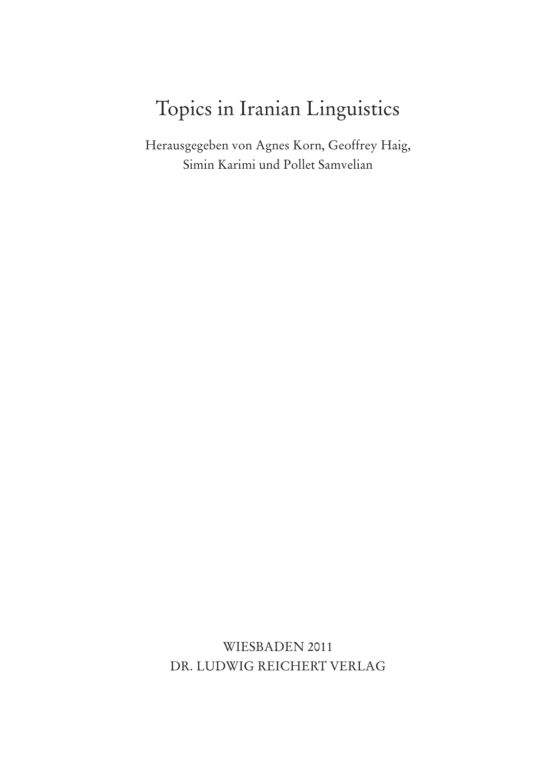# Topics in Iranian Linguistics

Herausgegeben von Agnes Korn, Geoffrey Haig, Simin Karimi und Pollet Samvelian

WIESBADEN 2011 DR. LUDWIG REICHERT VERLAG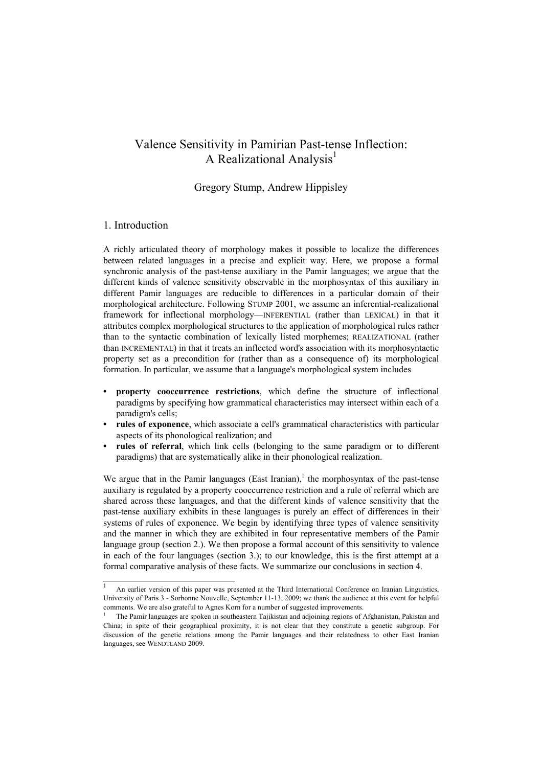## Valence Sensitivity in Pamirian Past-tense Inflection: A Realizational Analysis<sup>1</sup>

## Gregory Stump, Andrew Hippisley

### 1. Introduction

j

A richly articulated theory of morphology makes it possible to localize the differences between related languages in a precise and explicit way. Here, we propose a formal synchronic analysis of the past-tense auxiliary in the Pamir languages; we argue that the different kinds of valence sensitivity observable in the morphosyntax of this auxiliary in different Pamir languages are reducible to differences in a particular domain of their morphological architecture. Following STUMP 2001, we assume an inferential-realizational framework for inflectional morphology—INFERENTIAL (rather than LEXICAL) in that it attributes complex morphological structures to the application of morphological rules rather than to the syntactic combination of lexically listed morphemes; REALIZATIONAL (rather than INCREMENTAL) in that it treats an inflected word's association with its morphosyntactic property set as a precondition for (rather than as a consequence of) its morphological formation. In particular, we assume that a language's morphological system includes

- **property cooccurrence restrictions**, which define the structure of inflectional paradigms by specifying how grammatical characteristics may intersect within each of a paradigm's cells;
- **rules of exponence**, which associate a cell's grammatical characteristics with particular aspects of its phonological realization; and
- **rules of referral**, which link cells (belonging to the same paradigm or to different paradigms) that are systematically alike in their phonological realization.

We argue that in the Pamir languages (East Iranian),<sup>1</sup> the morphosyntax of the past-tense auxiliary is regulated by a property cooccurrence restriction and a rule of referral which are shared across these languages, and that the different kinds of valence sensitivity that the past-tense auxiliary exhibits in these languages is purely an effect of differences in their systems of rules of exponence. We begin by identifying three types of valence sensitivity and the manner in which they are exhibited in four representative members of the Pamir language group (section 2.). We then propose a formal account of this sensitivity to valence in each of the four languages (section 3.); to our knowledge, this is the first attempt at a formal comparative analysis of these facts. We summarize our conclusions in section 4.

<sup>1</sup> An earlier version of this paper was presented at the Third International Conference on Iranian Linguistics, University of Paris 3 - Sorbonne Nouvelle, September 11-13, 2009; we thank the audience at this event for helpful comments. We are also grateful to Agnes Korn for a number of suggested improvements. 1

The Pamir languages are spoken in southeastern Tajikistan and adjoining regions of Afghanistan, Pakistan and China; in spite of their geographical proximity, it is not clear that they constitute a genetic subgroup. For discussion of the genetic relations among the Pamir languages and their relatedness to other East Iranian languages, see WENDTLAND 2009.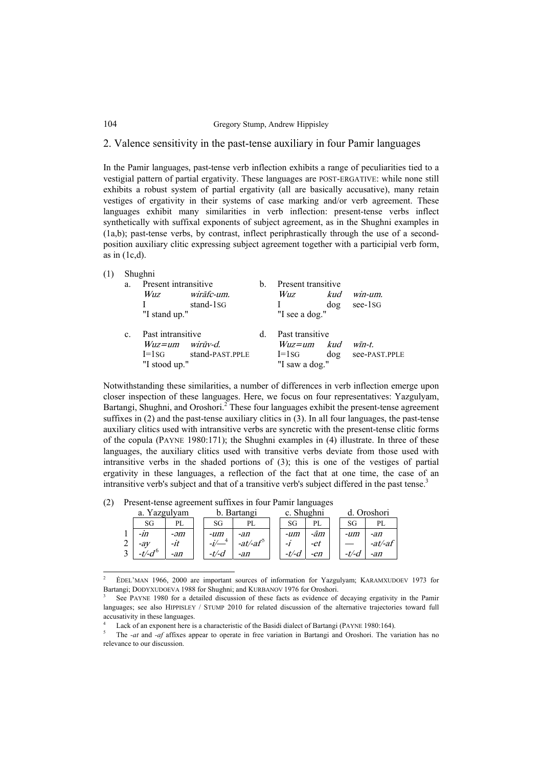### 2. Valence sensitivity in the past-tense auxiliary in four Pamir languages

In the Pamir languages, past-tense verb inflection exhibits a range of peculiarities tied to a vestigial pattern of partial ergativity. These languages are POST-ERGATIVE: while none still exhibits a robust system of partial ergativity (all are basically accusative), many retain vestiges of ergativity in their systems of case marking and/or verb agreement. These languages exhibit many similarities in verb inflection: present-tense verbs inflect synthetically with suffixal exponents of subject agreement, as in the Shughni examples in (1a,b); past-tense verbs, by contrast, inflect periphrastically through the use of a secondposition auxiliary clitic expressing subject agreement together with a participial verb form, as in  $(1c,d)$ .

| (1) | a.             | Shughni<br>Present intransitive<br>wirāfc-um.<br>Wuz<br>stand-1 <sub>SG</sub><br>"I stand up." | $\mathbf{b}$ . | Present transitive<br>$win$ - $um$ .<br><i>Wuz</i><br>kud<br>$see-1SG$<br>dog<br>"I see a dog." |                                 |  |
|-----|----------------|------------------------------------------------------------------------------------------------|----------------|-------------------------------------------------------------------------------------------------|---------------------------------|--|
|     | $\mathbf{c}$ . | Past intransitive<br>$Wuz = um$ wirūv-d.<br>stand-PAST.PPLE<br>$I=1sG$<br>"I stood up."        | d.             | Past transitive<br>kud<br>$Wuz = um$<br>dog<br>$I=1sG$<br>"I saw a dog."                        | $w\bar{m}$ -t.<br>see-PAST.PPLE |  |

Notwithstanding these similarities, a number of differences in verb inflection emerge upon closer inspection of these languages. Here, we focus on four representatives: Yazgulyam, Bartangi, Shughni, and Oroshori.<sup>2</sup> These four languages exhibit the present-tense agreement suffixes in (2) and the past-tense auxiliary clitics in (3). In all four languages, the past-tense auxiliary clitics used with intransitive verbs are syncretic with the present-tense clitic forms of the copula (PAYNE 1980:171); the Shughni examples in (4) illustrate. In three of these languages, the auxiliary clitics used with transitive verbs deviate from those used with intransitive verbs in the shaded portions of (3); this is one of the vestiges of partial ergativity in these languages, a reflection of the fact that at one time, the case of an intransitive verb's subject and that of a transitive verb's subject differed in the past tense. $3$ 

|        | a.               | Yazgulyam |          | Bartangi        | c. Shughni |       |          | Oroshori |
|--------|------------------|-----------|----------|-----------------|------------|-------|----------|----------|
|        | SG               | PL        | SG       | PL              | SG         | PL    | SG       | PL       |
|        | -111             | -əm       | -um      | -an             | -um        | -ām   | -um      | -an      |
| ⌒<br>∠ | $-aV$            | -it       |          | $-at/$ - $at^5$ | -1         | -et   |          | $-at/at$ |
|        | t/d <sup>6</sup> | -an       | $-t/$ -d | -an             | -t/-d      | $-en$ | $-t/ -d$ | -an      |

(2) Present-tense agreement suffixes in four Pamir languages

 $\overline{a}$ 

<sup>&</sup>lt;sup>2</sup> EDEL'MAN 1966, 2000 are important sources of information for Yazgulyam; KARAMXUDOEV 1973 for Bartangi; DODYXUDOEVA 1988 for Shughni; and KURBANOV 1976 for Oroshori.

See PAYNE 1980 for a detailed discussion of these facts as evidence of decaying ergativity in the Pamir languages; see also HIPPISLEY / STUMP 2010 for related discussion of the alternative trajectories toward full accusativity in these languages.

<sup>4</sup> Lack of an exponent here is a characteristic of the Basidi dialect of Bartangi (PAYNE 1980:164).<br>
The set and set and set affixes appear to operate in free variation in Bartangi and Oroshori. The va

The *-at* and *-af* affixes appear to operate in free variation in Bartangi and Oroshori. The variation has no relevance to our discussion.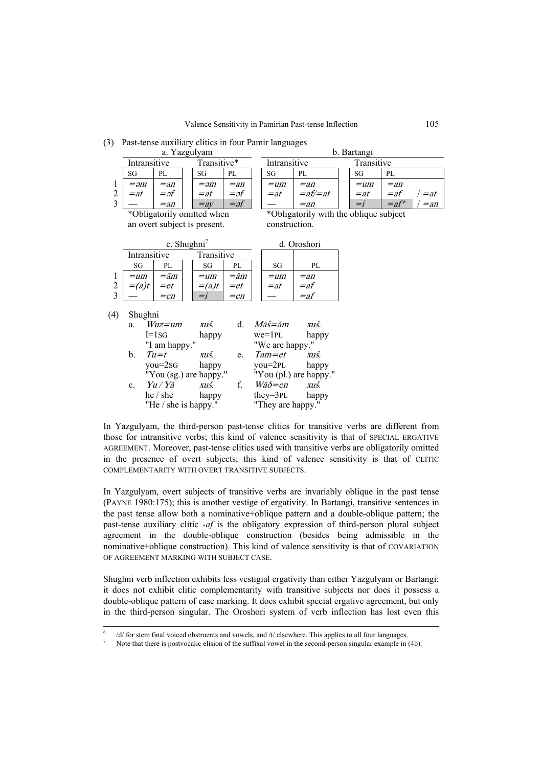|                |                | a. Yazgulyam                 |             |            |                       |                                        | b. Bartangi |         |             |
|----------------|----------------|------------------------------|-------------|------------|-----------------------|----------------------------------------|-------------|---------|-------------|
|                | Intransitive   |                              | Transitive* |            | Intransitive          |                                        | Transitive  |         |             |
|                | SG             | PL                           | SG          | PL         | SG                    | PL                                     | SG          | PL      |             |
| $\mathbf{1}$   | $= \partial m$ | $=$ an                       | $=2m$       | $=$ an     | $=$ um                | $=$ an                                 | $=$ um      | $=$ an  |             |
| $\overline{c}$ | $=$ at         | $=$ əf                       | $=$ at      | $=$ əf     | $=$ at                | $=$ af $/=$ at                         | $=$ at      | $=$ af  | $\ell = at$ |
| $\overline{3}$ |                | $=$ an                       | $=$ av      | $=$ əf     |                       | $=$ an                                 | $=i$        | $=$ af* | $=$ an      |
|                |                | *Obligatorily omitted when   |             |            |                       | *Obligatorily with the oblique subject |             |         |             |
|                |                | an overt subject is present. |             |            | construction.         |                                        |             |         |             |
|                |                |                              |             |            |                       |                                        |             |         |             |
|                |                | c. Shughni <sup>7</sup>      |             |            |                       | d. Oroshori                            |             |         |             |
|                | Intransitive   |                              | Transitive  |            |                       |                                        |             |         |             |
|                | SG             | PL                           | SG          | PL         | SG                    | PL                                     |             |         |             |
| 1              | $=$ um         | <i>=ām</i>                   | $=$ um      | <i>=ām</i> | $=$ um                | $=$ an                                 |             |         |             |
|                | $=(a)t$        | $=et$                        | $=(a)t$     | $=et$      | $=$ at                | $=$ af                                 |             |         |             |
| $\frac{2}{3}$  |                | $=$ en                       | $= i$       | $=$ en     |                       | $=$ af                                 |             |         |             |
|                |                |                              |             |            |                       |                                        |             |         |             |
| (4)            | Shughni        |                              |             |            |                       |                                        |             |         |             |
|                | a.             | $Wuz = um$                   | xuš.        | d.         | <i>Māš=ām</i>         | xuš.                                   |             |         |             |
|                |                | $I=1sG$                      | happy       |            | $we = 1PL$            | happy                                  |             |         |             |
|                |                | "I am happy."                |             |            | "We are happy."       |                                        |             |         |             |
|                | b.             | $Tu=t$                       | xuš.        | e.         | $Tam = et$            | xuš.                                   |             |         |             |
|                |                | $you = 2SG$                  | happy       |            | $you=2PL$             | happy                                  |             |         |             |
|                |                | "You (sg.) are happy."       |             |            |                       | "You (pl.) are happy."                 |             |         |             |
|                | $\mathbf{c}$ . | Yu / Yā                      | xuš.        | f.         | $W\bar{a}\delta = en$ | xuš.                                   |             |         |             |
|                |                | he / she                     | happy       |            | $they = 3PL$          | happy                                  |             |         |             |
|                |                | "He / she is happy."         |             |            | "They are happy."     |                                        |             |         |             |

(3) Past-tense auxiliary clitics in four Pamir languages

In Yazgulyam, the third-person past-tense clitics for transitive verbs are different from those for intransitive verbs; this kind of valence sensitivity is that of SPECIAL ERGATIVE AGREEMENT. Moreover, past-tense clitics used with transitive verbs are obligatorily omitted in the presence of overt subjects; this kind of valence sensitivity is that of CLITIC COMPLEMENTARITY WITH OVERT TRANSITIVE SUBJECTS.

In Yazgulyam, overt subjects of transitive verbs are invariably oblique in the past tense (PAYNE 1980:175); this is another vestige of ergativity. In Bartangi, transitive sentences in the past tense allow both a nominative+oblique pattern and a double-oblique pattern; the past-tense auxiliary clitic *-af* is the obligatory expression of third-person plural subject agreement in the double-oblique construction (besides being admissible in the nominative+oblique construction). This kind of valence sensitivity is that of COVARIATION OF AGREEMENT MARKING WITH SUBJECT CASE.

Shughni verb inflection exhibits less vestigial ergativity than either Yazgulyam or Bartangi: it does not exhibit clitic complementarity with transitive subjects nor does it possess a double-oblique pattern of case marking. It does exhibit special ergative agreement, but only in the third-person singular. The Oroshori system of verb inflection has lost even this

 $\frac{1}{6}$  $/$ d/ for stem final voiced obstruents and vowels, and /t/ elsewhere. This applies to all four languages.<br><sup>7</sup> Note that there is postyocalic elision of the suffixal vowel in the second-person singular example in

Note that there is postvocalic elision of the suffixal vowel in the second-person singular example in (4b).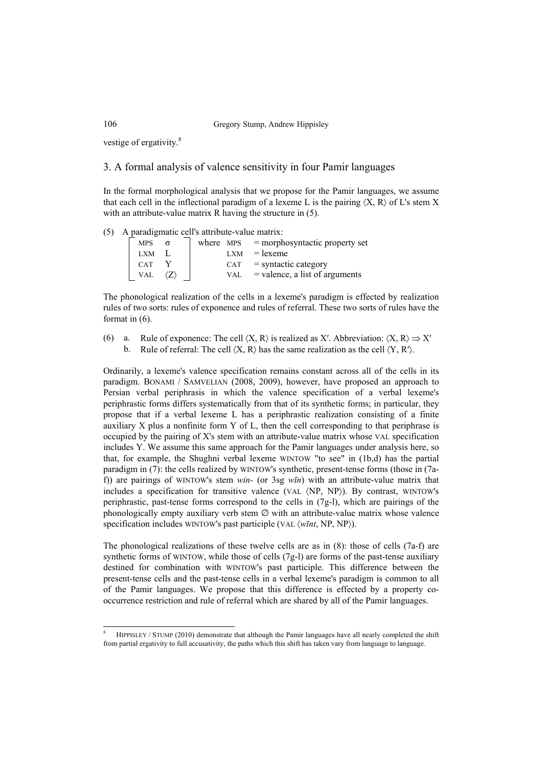vestige of ergativity.<sup>8</sup>

## 3. A formal analysis of valence sensitivity in four Pamir languages

In the formal morphological analysis that we propose for the Pamir languages, we assume that each cell in the inflectional paradigm of a lexeme L is the pairing  $(X, R)$  of L's stem X with an attribute-value matrix R having the structure in  $(5)$ .

(5) A paradigmatic cell's attribute-value matrix:

| <b>MPS</b> | where MPS  | $=$ morphosyntactic property set |
|------------|------------|----------------------------------|
| <b>LXM</b> | <b>LXM</b> | $=$ lexeme                       |
| <b>CAT</b> | CAT        | $=$ syntactic category           |
| <b>VAL</b> | VAL        | $=$ valence, a list of arguments |

The phonological realization of the cells in a lexeme's paradigm is effected by realization rules of two sorts: rules of exponence and rules of referral. These two sorts of rules have the format in (6).

(6) a. Rule of exponence: The cell  $(X, R)$  is realized as X'. Abbreviation:  $\langle X, R \rangle \Rightarrow X'$ b. Rule of referral: The cell  $(X, R)$  has the same realization as the cell  $(Y, R')$ .

Ordinarily, a lexeme's valence specification remains constant across all of the cells in its paradigm. BONAMI / SAMVELIAN (2008, 2009), however, have proposed an approach to Persian verbal periphrasis in which the valence specification of a verbal lexeme's periphrastic forms differs systematically from that of its synthetic forms; in particular, they propose that if a verbal lexeme L has a periphrastic realization consisting of a finite auxiliary X plus a nonfinite form Y of L, then the cell corresponding to that periphrase is occupied by the pairing of X's stem with an attribute-value matrix whose VAL specification includes Y. We assume this same approach for the Pamir languages under analysis here, so that, for example, the Shughni verbal lexeme WINTOW "to see" in (1b,d) has the partial paradigm in (7): the cells realized by WINTOW's synthetic, present-tense forms (those in (7af)) are pairings of WINTOW's stem *win-* (or 3sg *wīn*) with an attribute-value matrix that includes a specification for transitive valence (VAL 〈NP, NP〉). By contrast, WINTOW's periphrastic, past-tense forms correspond to the cells in (7g-l), which are pairings of the phonologically empty auxiliary verb stem  $\varnothing$  with an attribute-value matrix whose valence specification includes WINTOW's past participle (VAL 〈*wīnt*, NP, NP〉).

The phonological realizations of these twelve cells are as in (8): those of cells (7a-f) are synthetic forms of WINTOW, while those of cells (7g-l) are forms of the past-tense auxiliary destined for combination with WINTOW's past participle. This difference between the present-tense cells and the past-tense cells in a verbal lexeme's paradigm is common to all of the Pamir languages. We propose that this difference is effected by a property cooccurrence restriction and rule of referral which are shared by all of the Pamir languages.

 $\frac{1}{8}$  HIPPISLEY / STUMP (2010) demonstrate that although the Pamir languages have all nearly completed the shift from partial ergativity to full accusativity, the paths which this shift has taken vary from language to language.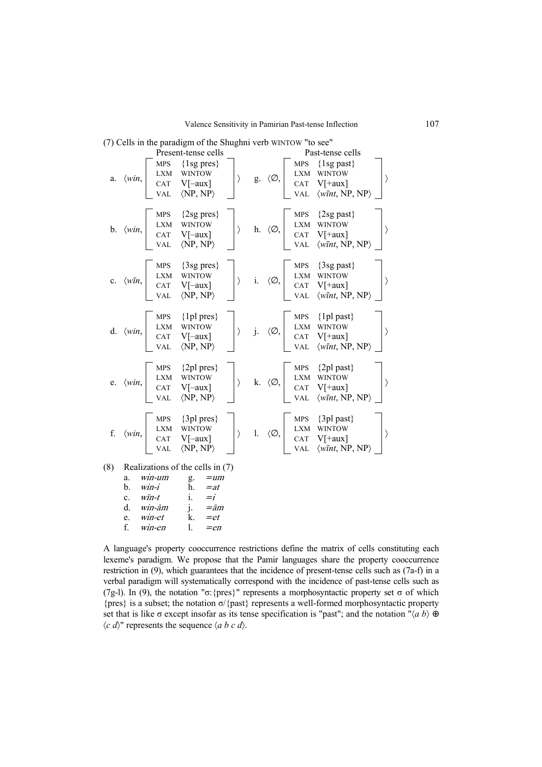|     |                                                                                                                                                                                                                                    | Present-tense cells                                     |  |                                                                                                                                                                                                   | Past-tense cells                                                                                                                                                                                                                                                                                                                                                                                                        |  |
|-----|------------------------------------------------------------------------------------------------------------------------------------------------------------------------------------------------------------------------------------|---------------------------------------------------------|--|---------------------------------------------------------------------------------------------------------------------------------------------------------------------------------------------------|-------------------------------------------------------------------------------------------------------------------------------------------------------------------------------------------------------------------------------------------------------------------------------------------------------------------------------------------------------------------------------------------------------------------------|--|
|     | <b>MPS</b><br>a. $\langle win, \begin{bmatrix} LXM & WINTOW \\ CAT & V[-aux] \\ VAL & \langle NP, NP \rangle \end{bmatrix}$                                                                                                        | $\{1sg \, pres\}$                                       |  |                                                                                                                                                                                                   | $\begin{array}{ccccc}\n\end{array}\n\quad \text{g.} & \langle \varnothing, \begin{bmatrix}\n\text{MPS} & \{\text{1sg past}\} \\ \text{LXM} & \text{WINTOW} \\ \text{CAT} & \text{V[+aux]} \\ \text{VAL} & \langle \text{wint, NP, NP}\rangle\n\end{array}$<br>$\left\langle \right\rangle$                                                                                                                              |  |
|     |                                                                                                                                                                                                                                    |                                                         |  |                                                                                                                                                                                                   | b. $\langle win, \begin{bmatrix} \text{MPS} & \{2\text{sg pres}\} \\ \text{LXM} & \text{WINTOW} \\ \text{CAT} & \text{V[-aux]} \\ \text{VAL} & \langle \text{NP}, \text{NP} \rangle \end{bmatrix}$ h. $\langle \emptyset, \begin{bmatrix} \text{MPS} & \{2\text{sg past}\} \\ \text{LXM} & \text{WINTOW} \\ \text{CAT} & \text{V[-aux]} \\ \text{VAL} & \langle \text{WP}, \text{NP} \rangle \end{bmatrix}$             |  |
|     |                                                                                                                                                                                                                                    |                                                         |  |                                                                                                                                                                                                   | c. $\langle w\bar{m}, \begin{bmatrix} \text{MPS} & \{3\text{sg pres}\} \\ \text{LXM} & \text{WIN} \\ \text{CAT} & \text{V[-aux]} \\ \text{VAL} & \langle \text{NP}, \text{NP} \rangle \end{bmatrix}$ i. $\langle \emptyset, \begin{bmatrix} \text{MPS} & \{3\text{sg past}\} \\ \text{LXM} & \text{WIN} \\ \text{CAT} & \text{V[+aux]} \\ \text{VAL} & \langle \text{wint}, \text{NP}, \text{NP} \rangle \end{bmatrix}$ |  |
|     | VAL                                                                                                                                                                                                                                | $MPS \quad \{1pl\,pres\}$<br>$\langle NP, NP \rangle$   |  | $\left\{\begin{array}{ccc} \text{MPS} & \{1\} \text{plast}\} \\ \text{LXM} & \text{WINTOW} \\ \text{CAT} & \text{V}[\text{+aux}] \\ \text{VAT} & \text{V} = \text{VAT} \end{array}\right.$<br>VAL | $\langle \textit{wint}, \textit{NP}, \textit{NP} \rangle$                                                                                                                                                                                                                                                                                                                                                               |  |
|     | e. $\langle win, \rangle$ MPS $\{2pl \text{ pres}\}\$<br>CAT V[-aux]<br>VAL                                                                                                                                                        | $MPS \quad \{2pl \, pres\}$<br>$\langle NP, NP \rangle$ |  | $\left\{\begin{array}{ccc} \times & \times \\ \times & \times \end{array}\right\}$ MPS {2pl past}<br>LXM WINTOW<br>CAT V[+aux]<br><b>VAL</b>                                                      | $\langle \textit{wInt}, \textit{NP}, \textit{NP} \rangle$                                                                                                                                                                                                                                                                                                                                                               |  |
|     | $f. \quad \langle win, \rangle$ $\begin{array}{c} \text{MPS} \\ \text{LXM} \\ \text{CAT} \\ \text{CAT} \\ \text{V} \end{array}$ $\begin{array}{c} \text{MPS} \\ \text{WINTOW} \\ \text{CAT} \\ \text{V} \end{array}$<br><b>VAL</b> | $MPS \quad \{3pl\,pres\}$<br>$\langle NP, NP \rangle$   |  |                                                                                                                                                                                                   | $\left.\begin{matrix} \text{MPS} & \{3\}\text{p} \text{ past}\} \\ \text{LXM} & \text{WINTOW} \\ \text{CAT} & \text{V}[\text{+aux}] \\ \text{VAL} & \langle \text{wInt, NP, NP}\rangle \end{matrix}\right.$                                                                                                                                                                                                             |  |
| (8) | Realizations of the cells in (7)                                                                                                                                                                                                   |                                                         |  |                                                                                                                                                                                                   |                                                                                                                                                                                                                                                                                                                                                                                                                         |  |

(7) Cells in the paradigm of the Shughni verb WINTOW "to see"

| (8)<br>Realizations of the cells in (7) |
|-----------------------------------------|
|-----------------------------------------|

| a.             | win-um   | g. | $=$ um      |
|----------------|----------|----|-------------|
| b.             | $win-i$  | h. | $=at$       |
| $\mathbf{c}$ . | wīn-t    |    | $=i$        |
| d.             | win-ām   |    | $=\bar{a}m$ |
| e.             | $win-et$ | k  | $=et$       |
| f              | $win-en$ |    | $=en$       |

A language's property cooccurrence restrictions define the matrix of cells constituting each lexeme's paradigm. We propose that the Pamir languages share the property cooccurrence restriction in (9), which guarantees that the incidence of present-tense cells such as (7a-f) in a verbal paradigm will systematically correspond with the incidence of past-tense cells such as (7g-l). In (9), the notation "σ:{pres}" represents a morphosyntactic property set σ of which {pres} is a subset; the notation σ/{past} represents a well-formed morphosyntactic property set that is like  $\sigma$  except insofar as its tense specification is "past"; and the notation " $\langle a b \rangle \oplus$  $\langle c \, d \rangle$ " represents the sequence  $\langle a \, b \, c \, d \rangle$ .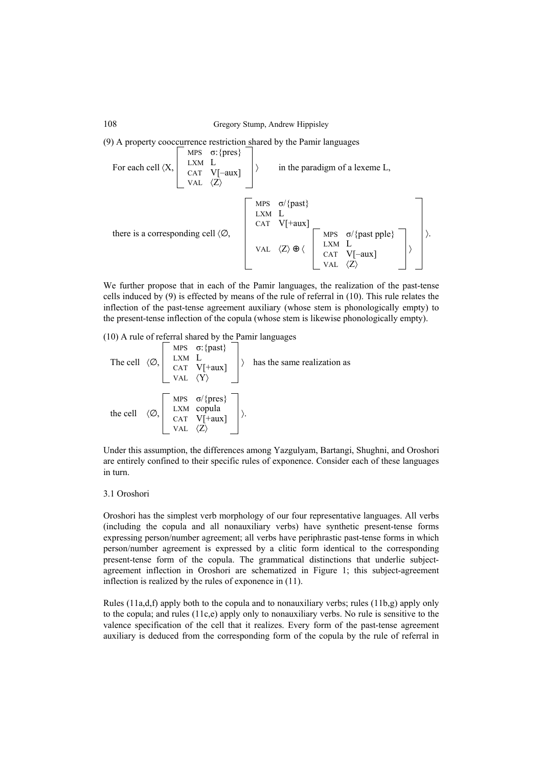(9) A property cooccurrence restriction shared by the Pamir languages

For each cell 
$$
\langle X, \begin{bmatrix} \text{MPS} & \sigma : \{\text{pres}\} \\ \text{LXM} & L \\ \text{VAL} & \langle Z \rangle \end{bmatrix} \rangle
$$
 in the paradigm of a lexeme L,  
\nwhere is a corresponding cell  $\langle \emptyset, \begin{bmatrix} \text{MPS} & \sigma / \{\text{past}\} \\ \text{LXM} & L \\ \text{CAT} & V[\text{+aux}] \\ \text{VAL} & \langle Z \rangle \oplus \langle \begin{bmatrix} \text{MPS} & \sigma / \{\text{past}\} \\ \text{LXM} & L \\ \text{CAT} & V[\text{-aux}] \\ \text{VAL} & \langle Z \rangle \end{bmatrix} \rangle \rangle$ 

We further propose that in each of the Pamir languages, the realization of the past-tense cells induced by (9) is effected by means of the rule of referral in (10). This rule relates the inflection of the past-tense agreement auxiliary (whose stem is phonologically empty) to the present-tense inflection of the copula (whose stem is likewise phonologically empty).

(10) A rule of referral shared by the Pamir languages

The cell 
$$
\langle \emptyset, \begin{bmatrix} \text{MPS} & \sigma : \{\text{past}\} \\ \text{LXM} & \text{L} \\ \text{CAT} & \text{V[+aux]} \\ \text{VAL} & \langle \text{Y} \rangle \end{bmatrix}
$$
 has the same realization as  
the cell  $\langle \emptyset, \begin{bmatrix} \text{MPS} & \sigma / \{\text{pres}\} \\ \text{LXM} & \text{copula} \\ \text{CAT} & \text{V[+aux]} \\ \text{VAL} & \langle \text{Z} \rangle \end{bmatrix}$ .

Under this assumption, the differences among Yazgulyam, Bartangi, Shughni, and Oroshori are entirely confined to their specific rules of exponence. Consider each of these languages in turn.

#### 3.1 Oroshori

Oroshori has the simplest verb morphology of our four representative languages. All verbs (including the copula and all nonauxiliary verbs) have synthetic present-tense forms expressing person/number agreement; all verbs have periphrastic past-tense forms in which person/number agreement is expressed by a clitic form identical to the corresponding present-tense form of the copula. The grammatical distinctions that underlie subjectagreement inflection in Oroshori are schematized in Figure 1; this subject-agreement inflection is realized by the rules of exponence in (11).

Rules  $(11a,d,f)$  apply both to the copula and to nonauxiliary verbs; rules  $(11b,g)$  apply only to the copula; and rules  $(11c,e)$  apply only to nonauxiliary verbs. No rule is sensitive to the valence specification of the cell that it realizes. Every form of the past-tense agreement auxiliary is deduced from the corresponding form of the copula by the rule of referral in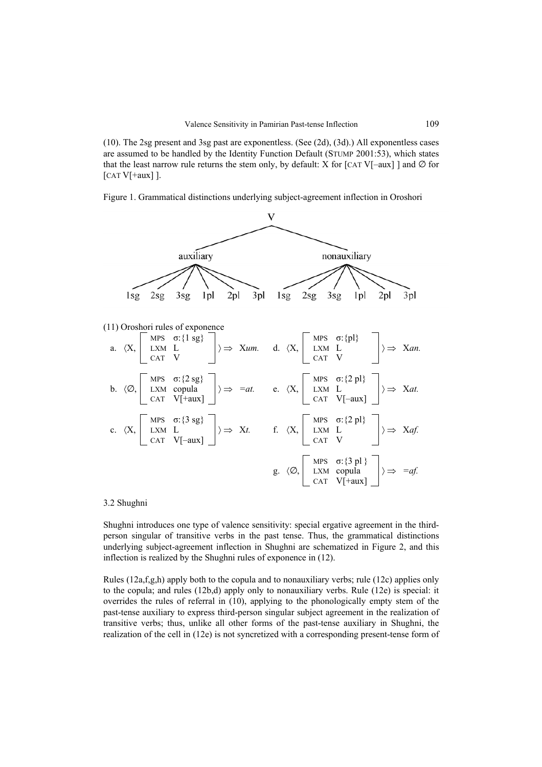(10). The 2sg present and 3sg past are exponentless. (See (2d), (3d).) All exponentless cases are assumed to be handled by the Identity Function Default (STUMP 2001:53), which states that the least narrow rule returns the stem only, by default: X for [CAT V[–aux] ] and  $\varnothing$  for  $[CAT V<sup>+</sup>aux]$ ].

Figure 1. Grammatical distinctions underlying subject-agreement inflection in Oroshori



#### 3.2 Shughni

Shughni introduces one type of valence sensitivity: special ergative agreement in the thirdperson singular of transitive verbs in the past tense. Thus, the grammatical distinctions underlying subject-agreement inflection in Shughni are schematized in Figure 2, and this inflection is realized by the Shughni rules of exponence in (12).

Rules  $(12a, f, g, h)$  apply both to the copula and to nonauxiliary verbs; rule  $(12c)$  applies only to the copula; and rules (12b,d) apply only to nonauxiliary verbs. Rule (12e) is special: it overrides the rules of referral in (10), applying to the phonologically empty stem of the past-tense auxiliary to express third-person singular subject agreement in the realization of transitive verbs; thus, unlike all other forms of the past-tense auxiliary in Shughni, the realization of the cell in (12e) is not syncretized with a corresponding present-tense form of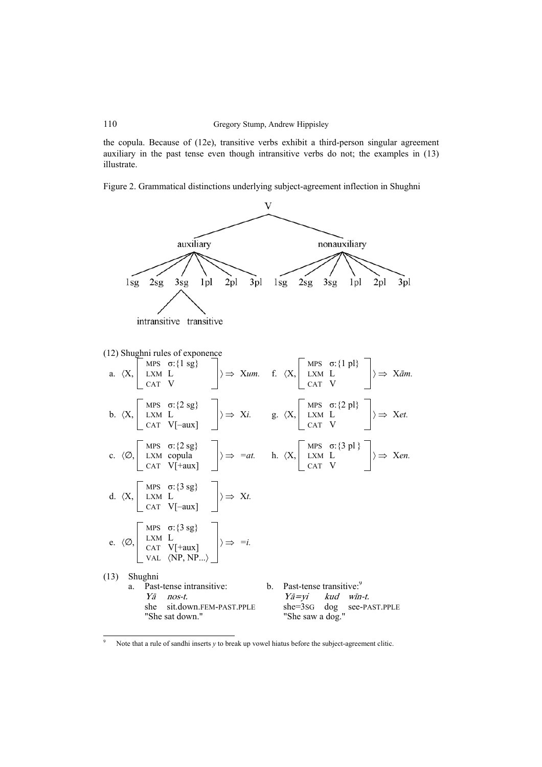the copula. Because of (12e), transitive verbs exhibit a third-person singular agreement auxiliary in the past tense even though intransitive verbs do not; the examples in (13) illustrate.

Figure 2. Grammatical distinctions underlying subject-agreement inflection in Shughni



<sup>9</sup> Note that a rule of sandhi inserts *y* to break up vowel hiatus before the subject-agreement clitic.

 $\overline{a}$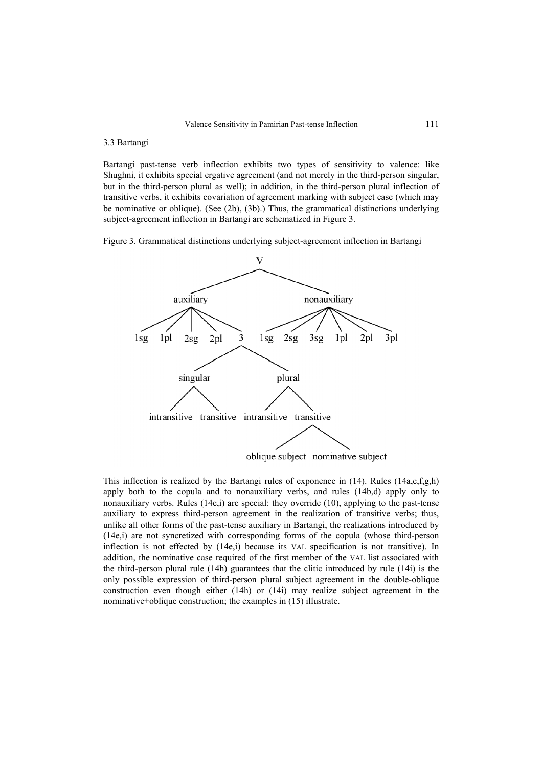#### 3.3 Bartangi

Bartangi past-tense verb inflection exhibits two types of sensitivity to valence: like Shughni, it exhibits special ergative agreement (and not merely in the third-person singular, but in the third-person plural as well); in addition, in the third-person plural inflection of transitive verbs, it exhibits covariation of agreement marking with subject case (which may be nominative or oblique). (See (2b), (3b).) Thus, the grammatical distinctions underlying subject-agreement inflection in Bartangi are schematized in Figure 3.

Figure 3. Grammatical distinctions underlying subject-agreement inflection in Bartangi



This inflection is realized by the Bartangi rules of exponence in (14). Rules (14a,c,f,g,h) apply both to the copula and to nonauxiliary verbs, and rules (14b,d) apply only to nonauxiliary verbs. Rules  $(14e,i)$  are special: they override  $(10)$ , applying to the past-tense auxiliary to express third-person agreement in the realization of transitive verbs; thus, unlike all other forms of the past-tense auxiliary in Bartangi, the realizations introduced by (14e,i) are not syncretized with corresponding forms of the copula (whose third-person inflection is not effected by (14e,i) because its VAL specification is not transitive). In addition, the nominative case required of the first member of the VAL list associated with the third-person plural rule (14h) guarantees that the clitic introduced by rule (14i) is the only possible expression of third-person plural subject agreement in the double-oblique construction even though either (14h) or (14i) may realize subject agreement in the nominative+oblique construction; the examples in (15) illustrate.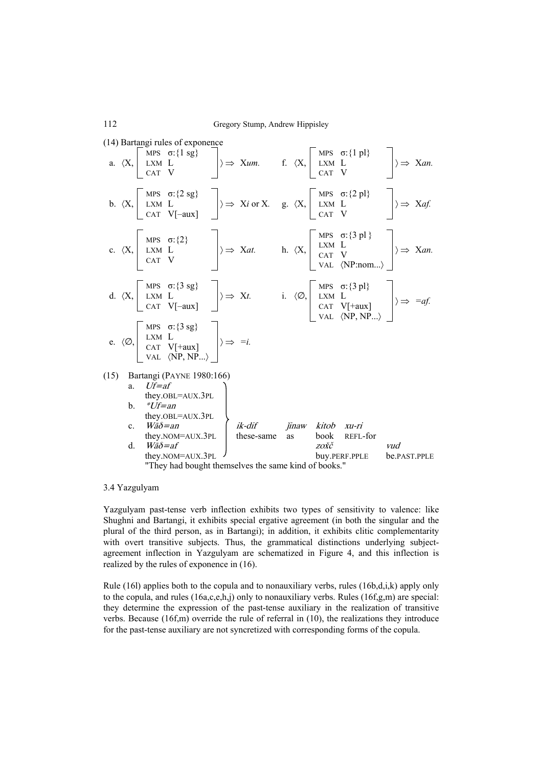|      |         |              | (14) Bartangi rules of exponence                                                                                                                                                                                                      |                                                      |  |      |                                                                                                                                                                                                                                                                                                                                                                     |              |  |
|------|---------|--------------|---------------------------------------------------------------------------------------------------------------------------------------------------------------------------------------------------------------------------------------|------------------------------------------------------|--|------|---------------------------------------------------------------------------------------------------------------------------------------------------------------------------------------------------------------------------------------------------------------------------------------------------------------------------------------------------------------------|--------------|--|
|      |         |              |                                                                                                                                                                                                                                       |                                                      |  |      | a. $\langle X, \begin{bmatrix} MBS & \sigma : \{1 \text{ sg}\} \\ LXM & L \\ CAT & V \end{bmatrix} \rangle \Rightarrow Xum.$ f. $\langle X, \begin{bmatrix} MBS & \sigma : \{1 \text{ pl}\} \\ LXM & L \\ CAT & V \end{bmatrix} \rangle \Rightarrow Xan.$                                                                                                           |              |  |
|      |         |              |                                                                                                                                                                                                                                       |                                                      |  |      | b. $\langle X, \begin{bmatrix} \text{MPS} & \sigma:\{2 \text{ sg}\} \\ \text{LXM} & \text{L} \\ \text{CAT} & \text{V}[-aux] \end{bmatrix} \rangle \Rightarrow \text{Xi} \text{ or } X. \text{ g. } \langle X, \begin{bmatrix} \text{MPS} & \sigma:\{2 \text{ pl}\} \\ \text{LXM} & \text{L} \\ \text{CAT} & \text{V} \end{bmatrix} \rangle \Rightarrow \text{Xaf}.$ |              |  |
|      |         |              |                                                                                                                                                                                                                                       |                                                      |  |      | c. $\langle X, \begin{bmatrix} \text{MPS} & \sigma : \{2\} \\ \text{LXM} & L \\ \text{CAT} & V \end{bmatrix} \rangle \Rightarrow Xat.$ h. $\langle X, \begin{bmatrix} \text{MPS} & \sigma : \{3 \text{ pl }\} \\ \text{LXM} & L \\ \text{CAT} & V \end{bmatrix} \rangle \Rightarrow Xan.$                                                                           |              |  |
|      |         |              |                                                                                                                                                                                                                                       |                                                      |  |      | d. $\langle X, \begin{bmatrix} MPS & \sigma : \{3 sg\} \\ LXM & L \\ CAT & V[-aux] \\ \end{bmatrix} \rangle \Rightarrow Xt.$ i. $\langle \emptyset, \begin{bmatrix} MPS & \sigma : \{3 pl\} \\ LXM & L \\ CAT & V[+aux] \\ VAL & \langle NP, NP, \ldots \rangle \end{bmatrix} \rangle \Rightarrow =af.$                                                             |              |  |
|      |         |              | e. $\langle \emptyset, \begin{bmatrix} \text{MPS} & \sigma:\{3 \text{ sg}\} \\ \text{LXM} & \text{L} \\ \text{CAT} & \text{V[+aux]} \\ \text{VAL} & \langle \text{NP}, \text{NP} \dots \rangle \end{bmatrix} \rangle \Rightarrow =i.$ |                                                      |  |      |                                                                                                                                                                                                                                                                                                                                                                     |              |  |
| (15) |         |              | Bartangi (PAYNE 1980:166)                                                                                                                                                                                                             |                                                      |  |      |                                                                                                                                                                                                                                                                                                                                                                     |              |  |
|      |         | $a_{\ldots}$ | $Uf=af$                                                                                                                                                                                                                               |                                                      |  |      |                                                                                                                                                                                                                                                                                                                                                                     |              |  |
|      |         |              | they.OBL=AUX.3PL                                                                                                                                                                                                                      |                                                      |  |      |                                                                                                                                                                                                                                                                                                                                                                     |              |  |
|      |         | b. $*Uf=an$  | they.obl=aux.3pl                                                                                                                                                                                                                      |                                                      |  |      |                                                                                                                                                                                                                                                                                                                                                                     |              |  |
|      | $c_{-}$ |              | $W \bar{a} \delta = a n$                                                                                                                                                                                                              | ik-dif jinaw kitob xu-ri                             |  |      |                                                                                                                                                                                                                                                                                                                                                                     |              |  |
|      |         |              | they. $NOM = AUX.3PL$                                                                                                                                                                                                                 | these-same as                                        |  |      | book REFL-for                                                                                                                                                                                                                                                                                                                                                       |              |  |
|      | d.      |              | $W \bar{a} \delta = af$                                                                                                                                                                                                               |                                                      |  | zožč |                                                                                                                                                                                                                                                                                                                                                                     | vud          |  |
|      |         |              | they.NOM=AUX.3PL                                                                                                                                                                                                                      |                                                      |  |      | buy.PERF.PPLE                                                                                                                                                                                                                                                                                                                                                       | be.PAST.PPLE |  |
|      |         |              |                                                                                                                                                                                                                                       | "They had bought themselves the same kind of books." |  |      |                                                                                                                                                                                                                                                                                                                                                                     |              |  |

#### 3.4 Yazgulyam

Yazgulyam past-tense verb inflection exhibits two types of sensitivity to valence: like Shughni and Bartangi, it exhibits special ergative agreement (in both the singular and the plural of the third person, as in Bartangi); in addition, it exhibits clitic complementarity with overt transitive subjects. Thus, the grammatical distinctions underlying subjectagreement inflection in Yazgulyam are schematized in Figure 4, and this inflection is realized by the rules of exponence in (16).

Rule (16l) applies both to the copula and to nonauxiliary verbs, rules  $(16b,d,i,k)$  apply only to the copula, and rules  $(16a,c,e,h,j)$  only to nonauxiliary verbs. Rules  $(16f,g,m)$  are special: they determine the expression of the past-tense auxiliary in the realization of transitive verbs. Because (16f,m) override the rule of referral in (10), the realizations they introduce for the past-tense auxiliary are not syncretized with corresponding forms of the copula.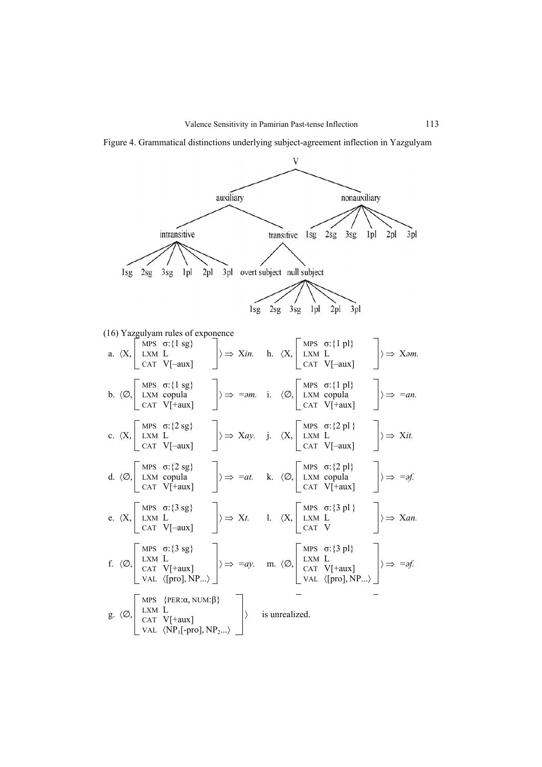

Figure 4. Grammatical distinctions underlying subject-agreement inflection in Yazgulyam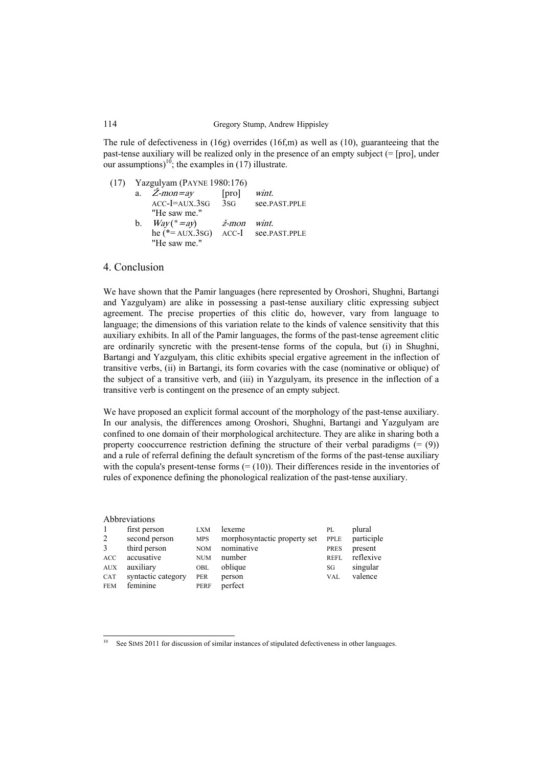The rule of defectiveness in  $(16g)$  overrides  $(16f,m)$  as well as  $(10)$ , guaranteeing that the past-tense auxiliary will be realized only in the presence of an empty subject (= [pro], under our assumptions)<sup>10</sup>; the examples in (17) illustrate.

(17) Yazgulyam (PAYNE 1980:176)

|         | a. $Z$ -mon=ay                        | [pro]       | wint.             |
|---------|---------------------------------------|-------------|-------------------|
|         | $ACC-I = AUX.3SG$                     |             | 3sG see.PAST.PPLE |
|         | "He saw me."                          |             |                   |
| $b_{-}$ | $Way(*=ay)$                           | ž-mon wint. |                   |
|         | $he$ (*= AUX.3sG) ACC-I see.PAST.PPLE |             |                   |
|         | "He saw me."                          |             |                   |

### 4. Conclusion

 $\overline{a}$ 

We have shown that the Pamir languages (here represented by Oroshori, Shughni, Bartangi and Yazgulyam) are alike in possessing a past-tense auxiliary clitic expressing subject agreement. The precise properties of this clitic do, however, vary from language to language; the dimensions of this variation relate to the kinds of valence sensitivity that this auxiliary exhibits. In all of the Pamir languages, the forms of the past-tense agreement clitic are ordinarily syncretic with the present-tense forms of the copula, but (i) in Shughni, Bartangi and Yazgulyam, this clitic exhibits special ergative agreement in the inflection of transitive verbs, (ii) in Bartangi, its form covaries with the case (nominative or oblique) of the subject of a transitive verb, and (iii) in Yazgulyam, its presence in the inflection of a transitive verb is contingent on the presence of an empty subject.

We have proposed an explicit formal account of the morphology of the past-tense auxiliary. In our analysis, the differences among Oroshori, Shughni, Bartangi and Yazgulyam are confined to one domain of their morphological architecture. They are alike in sharing both a property cooccurrence restriction defining the structure of their verbal paradigms  $(= 9)$ ) and a rule of referral defining the default syncretism of the forms of the past-tense auxiliary with the copula's present-tense forms  $(=(10))$ . Their differences reside in the inventories of rules of exponence defining the phonological realization of the past-tense auxiliary.

|                | Abbreviations      |             |                              |             |            |
|----------------|--------------------|-------------|------------------------------|-------------|------------|
| $\overline{1}$ | first person       | <b>LXM</b>  | lexeme                       | PL          | plural     |
| 2              | second person      | <b>MPS</b>  | morphosyntactic property set | PPLE        | participle |
| 3              | third person       | <b>NOM</b>  | nominative                   | <b>PRES</b> | present    |
| ACC            | accusative         | <b>NUM</b>  | number                       | REFL        | reflexive  |
| <b>AUX</b>     | auxiliary          | OBL         | oblique                      | SG          | singular   |
| <b>CAT</b>     | syntactic category | <b>PER</b>  | person                       | <b>VAL</b>  | valence    |
| <b>FEM</b>     | feminine           | <b>PERF</b> | perfect                      |             |            |

See SIMS 2011 for discussion of similar instances of stipulated defectiveness in other languages.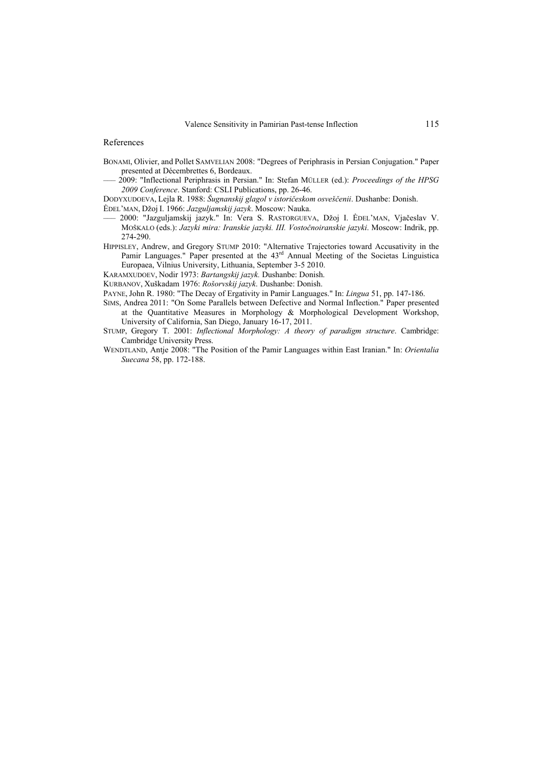#### References

- BONAMI, Olivier, and Pollet SAMVELIAN 2008: "Degrees of Periphrasis in Persian Conjugation." Paper presented at Décembrettes 6, Bordeaux.
- ––– 2009: "Inflectional Periphrasis in Persian." In: Stefan MÜLLER (ed.): *Proceedings of the HPSG 2009 Conference*. Stanford: CSLI Publications, pp. 26-46.
- DODYXUDOEVA, Lejla R. 1988: *Šugnanskij glagol v istoričeskom osveščenii*. Dushanbe: Donish.
- ĖDEL'MAN, Džoj I. 1966: *Jazguljamskij jazyk*. Moscow: Nauka.
- ––– 2000: "Jazguljamskij jazyk." In: Vera S. RASTORGUEVA, Džoj I. ĖDEL'MAN, Vjačeslav V. MOŠKALO (eds.): *Jazyki mira: Iranskie jazyki. III. Vostočnoiranskie jazyki*. Moscow: Indrik, pp. 274-290.
- HIPPISLEY, Andrew, and Gregory STUMP 2010: "Alternative Trajectories toward Accusativity in the Pamir Languages." Paper presented at the 43<sup>rd</sup> Annual Meeting of the Societas Linguistica Europaea, Vilnius University, Lithuania, September 3-5 2010.
- KARAMXUDOEV, Nodir 1973: *Bartangskij jazyk.* Dushanbe: Donish.
- KURBANOV, Xuškadam 1976: *Rošorvskij jazyk*. Dushanbe: Donish.
- PAYNE, John R. 1980: "The Decay of Ergativity in Pamir Languages." In: *Lingua* 51, pp. 147-186.
- SIMS, Andrea 2011: "On Some Parallels between Defective and Normal Inflection." Paper presented at the Quantitative Measures in Morphology & Morphological Development Workshop, University of California, San Diego, January 16-17, 2011.
- STUMP, Gregory T. 2001: *Inflectional Morphology: A theory of paradigm structure*. Cambridge: Cambridge University Press.
- WENDTLAND, Antje 2008: "The Position of the Pamir Languages within East Iranian." In: *Orientalia Suecana* 58, pp. 172-188.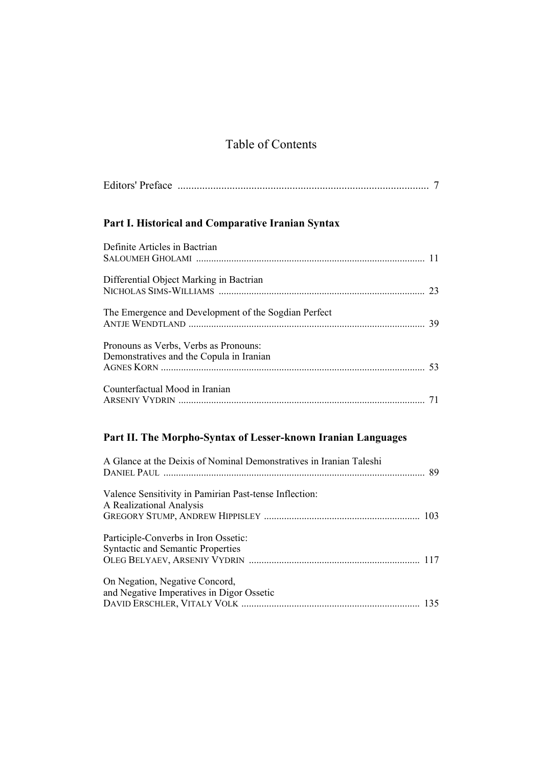# Table of Contents

| Part I. Historical and Comparative Iranian Syntax                                 |    |
|-----------------------------------------------------------------------------------|----|
| Definite Articles in Bactrian                                                     |    |
| Differential Object Marking in Bactrian                                           |    |
| The Emergence and Development of the Sogdian Perfect                              |    |
| Pronouns as Verbs, Verbs as Pronouns:<br>Demonstratives and the Copula in Iranian | 53 |
| Counterfactual Mood in Iranian                                                    |    |

# **Part II. The Morpho-Syntax of Lesser-known Iranian Languages**

| A Glance at the Deixis of Nominal Demonstratives in Iranian Taleshi                |  |
|------------------------------------------------------------------------------------|--|
| Valence Sensitivity in Pamirian Past-tense Inflection:<br>A Realizational Analysis |  |
|                                                                                    |  |
| Participle-Converbs in Iron Ossetic:<br><b>Syntactic and Semantic Properties</b>   |  |
| On Negation, Negative Concord,<br>and Negative Imperatives in Digor Ossetic        |  |